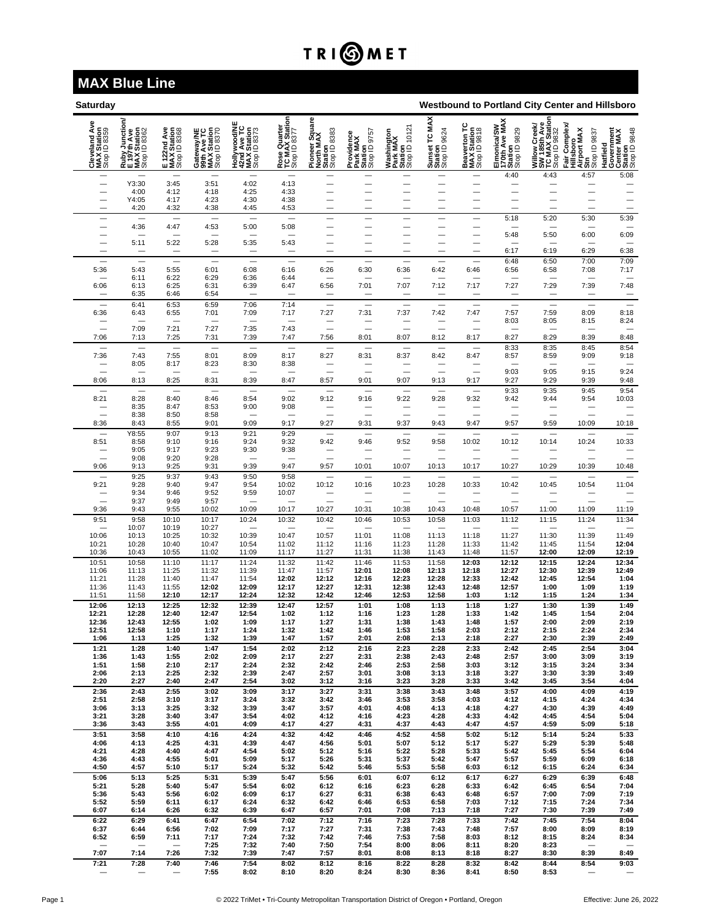## TRI**OMET**

## **MAX Blue Line**

| Westbound to Portland City Center and Hillsboro<br>Saturday |                                                                                                  |                                            |                                                          |                                                            |                                                |                                                        |                                                      |                                                    |                                                       |                                             |                                                         |                                                                 |                                                                  |                                                                 |
|-------------------------------------------------------------|--------------------------------------------------------------------------------------------------|--------------------------------------------|----------------------------------------------------------|------------------------------------------------------------|------------------------------------------------|--------------------------------------------------------|------------------------------------------------------|----------------------------------------------------|-------------------------------------------------------|---------------------------------------------|---------------------------------------------------------|-----------------------------------------------------------------|------------------------------------------------------------------|-----------------------------------------------------------------|
| Ave<br>Cleveland Av<br>MAX Station<br>Stop ID 8359          | ction<br>y Junctio<br>Pth Ave<br>( Station<br><sup>, ID 8362</sup><br><b>HUAN</b><br><b>ELAX</b> | E 122nd Ave<br>MAX Station<br>Stop ID 8368 | Gateway/NE<br>99th Ave TC<br>MAX Station<br>Stop ID 8370 | Hollywood/NE<br>42nd Ave TC<br>MAX Station<br>Stop ID 8373 | Rose Quarter<br>TC MAX Station<br>Stop ID 8377 | Pioneer Square<br>North MAX<br>Station<br>Stop ID 8383 | Providence<br>Park MAX<br>Station<br>Stop ID 9757    | Washington<br>Park MAX<br>Station<br>Stop ID 10121 | <b>MAX</b><br>Sunset TC MJ<br>Station<br>Stop ID 9624 | Beaverton TC<br>MAX Station<br>Stop ID 9818 | Elmonica/SW<br>170th Ave MAX<br>Station<br>Stop ID 9829 | Willow Creek/<br>SW 185th Ave<br>TC MAX Station<br>Stop ID 9832 | Complex<br>Hillsboro<br>Airport MAX<br>Strp<br>Stop ID 9837<br>Ì | Hatfield<br>Government<br>Center MAX<br>Station<br>Stop ID 9848 |
| -                                                           | Y3:30                                                                                            | 3:45                                       | 3:51                                                     | 4:02                                                       | 4:13                                           | -                                                      | -                                                    |                                                    |                                                       | —                                           | 4:40                                                    | 4:43                                                            | 4:57                                                             | 5:08                                                            |
|                                                             | 4:00                                                                                             | 4:12                                       | 4:18                                                     | 4:25                                                       | 4:33                                           |                                                        |                                                      |                                                    |                                                       |                                             |                                                         |                                                                 |                                                                  | $\overline{\phantom{0}}$                                        |
|                                                             | Y4:05<br>4:20                                                                                    | 4:17<br>4:32                               | 4:23<br>4:38                                             | 4:30<br>4:45                                               | 4:38<br>4:53                                   | $\overline{\phantom{0}}$                               | $\overline{\phantom{0}}$<br>$\overline{\phantom{0}}$ | $\overline{\phantom{0}}$                           | $\overline{\phantom{0}}$                              | —<br>-                                      | —                                                       | $\overline{\phantom{0}}$<br>$\overline{\phantom{0}}$            | $\overline{\phantom{0}}$                                         |                                                                 |
|                                                             |                                                                                                  |                                            |                                                          |                                                            |                                                |                                                        |                                                      |                                                    |                                                       |                                             | 5:18                                                    | 5:20                                                            | 5:30                                                             | 5:39                                                            |
| $\overline{\phantom{0}}$                                    | 4:36                                                                                             | 4:47                                       | 4:53                                                     | 5:00                                                       | 5:08                                           | —                                                      | —                                                    | —                                                  | $\overline{\phantom{0}}$                              | —                                           | -<br>5:48                                               | 5:50                                                            | 6:00                                                             | 6:09                                                            |
|                                                             | 5:11                                                                                             | 5:22                                       | 5:28                                                     | 5:35                                                       | 5:43                                           | -                                                      | -                                                    |                                                    | $\overline{\phantom{0}}$                              | —<br>-                                      |                                                         |                                                                 |                                                                  |                                                                 |
|                                                             |                                                                                                  |                                            |                                                          |                                                            |                                                |                                                        |                                                      |                                                    |                                                       |                                             | 6:17                                                    | 6:19                                                            | 6:29                                                             | 6:38<br>7:09                                                    |
| 5:36                                                        | 5:43                                                                                             | 5:55                                       | 6:01                                                     | 6:08                                                       | 6:16                                           | 6:26                                                   | 6:30                                                 | 6:36                                               | 6:42                                                  | 6:46                                        | 6:48<br>6:56                                            | 6:50<br>6:58                                                    | 7:00<br>7:08                                                     | 7:17                                                            |
| 6:06                                                        | 6:11<br>6:13                                                                                     | 6:22<br>6:25                               | 6:29<br>6:31                                             | 6:36<br>6:39                                               | 6:44<br>6:47                                   | 6:56                                                   | 7:01                                                 | 7:07                                               | 7:12                                                  | 7:17                                        | 7:27                                                    | 7:29                                                            | 7:39                                                             | 7:48                                                            |
|                                                             | 6:35                                                                                             | 6:46                                       | 6:54                                                     |                                                            |                                                | $\overline{\phantom{0}}$                               |                                                      | $\overline{\phantom{0}}$                           |                                                       | <u>—</u>                                    | -                                                       | $\overline{\phantom{0}}$                                        |                                                                  |                                                                 |
| ÷,                                                          | 6:41                                                                                             | 6:53                                       | 6:59                                                     | 7:06                                                       | 7:14                                           | $\overline{\phantom{0}}$                               | $\equiv$<br>7:31                                     | $\overline{\phantom{0}}$                           | $\equiv$<br>7:42                                      | $\equiv$                                    | $\overline{\phantom{0}}$                                | $\overline{\phantom{0}}$                                        | $\overline{\phantom{0}}$                                         | $\equiv$                                                        |
| 6:36                                                        | 6:43                                                                                             | 6:55                                       | 7:01                                                     | 7:09                                                       | 7:17                                           | 7:27                                                   |                                                      | 7:37                                               |                                                       | 7:47                                        | 7:57<br>8:03                                            | 7:59<br>8:05                                                    | 8:09<br>8:15                                                     | 8:18<br>8:24                                                    |
| 7:06                                                        | 7:09<br>7:13                                                                                     | 7:21<br>7:25                               | 7:27<br>7:31                                             | 7:35<br>7:39                                               | 7:43<br>7:47                                   | $\overline{\phantom{0}}$<br>7:56                       | 8:01                                                 | 8:07                                               | 8:12                                                  | $\overline{\phantom{0}}$<br>8:17            | —<br>8:27                                               | $\qquad \qquad$<br>8:29                                         | $\overline{\phantom{0}}$<br>8:39                                 | $\qquad \qquad$<br>8:48                                         |
|                                                             | $\overline{\phantom{0}}$                                                                         | $\equiv$                                   |                                                          | $\overline{\phantom{0}}$                                   | $\overline{\phantom{0}}$                       |                                                        |                                                      |                                                    |                                                       | $\overline{\phantom{0}}$                    | 8:33                                                    | 8:35                                                            | 8:45                                                             | 8:54                                                            |
| 7:36<br>$\overline{\phantom{0}}$                            | 7:43<br>8:05                                                                                     | 7:55<br>8:17                               | 8:01<br>8:23                                             | 8:09<br>8:30                                               | 8:17<br>8:38                                   | 8:27<br>-                                              | 8:31<br>$\overline{\phantom{0}}$                     | 8:37<br>$\overline{\phantom{0}}$                   | 8:42                                                  | 8:47                                        | 8:57                                                    | 8:59                                                            | 9:09                                                             | 9:18<br>$\qquad \qquad$                                         |
|                                                             |                                                                                                  |                                            |                                                          |                                                            |                                                |                                                        |                                                      |                                                    |                                                       | ÷                                           | 9:03                                                    | 9:05                                                            | 9:15                                                             | 9:24                                                            |
| 8:06                                                        | 8:13                                                                                             | 8:25                                       | 8:31                                                     | 8:39                                                       | 8:47                                           | 8:57                                                   | 9:01                                                 | 9:07                                               | 9:13                                                  | 9:17                                        | 9:27<br>9:33                                            | 9:29<br>9:35                                                    | 9:39<br>9:45                                                     | 9:48<br>9:54                                                    |
| 8:21                                                        | 8:28                                                                                             | 8:40                                       | 8:46                                                     | 8:54                                                       | 9:02                                           | 9:12                                                   | 9:16                                                 | 9:22                                               | 9:28                                                  | 9:32                                        | 9:42                                                    | 9:44                                                            | 9:54                                                             | 10:03                                                           |
|                                                             | 8:35<br>8:38                                                                                     | 8:47<br>8:50                               | 8:53<br>8:58                                             | 9:00                                                       | 9:08                                           |                                                        | $\overline{\phantom{0}}$                             |                                                    |                                                       | $\overline{\phantom{0}}$                    |                                                         | $\equiv$                                                        |                                                                  | -<br>÷                                                          |
| 8:36                                                        | 8:43                                                                                             | 8:55                                       | 9:01                                                     | 9:09                                                       | 9:17                                           | 9:27                                                   | 9:31                                                 | 9:37                                               | 9:43                                                  | 9:47                                        | 9:57                                                    | 9:59                                                            | 10:09                                                            | 10:18                                                           |
| 8:51                                                        | Y8:55<br>8:58                                                                                    | 9:07<br>9:10                               | 9:13<br>9:16                                             | 9:21<br>9:24                                               | 9:29<br>9:32                                   | 9:42                                                   | 9:46                                                 | 9:52                                               | 9:58                                                  | 10:02                                       | $\overline{\phantom{0}}$<br>10:12                       | $\overline{\phantom{0}}$<br>10:14                               | 10:24                                                            | 10:33                                                           |
|                                                             | 9:05                                                                                             | 9:17                                       | 9:23                                                     | 9:30                                                       | 9:38                                           |                                                        |                                                      |                                                    |                                                       | $\equiv$                                    | $\equiv$                                                |                                                                 |                                                                  |                                                                 |
| 9:06                                                        | 9:08<br>9:13                                                                                     | 9:20<br>9:25                               | 9:28<br>9:31                                             | 9:39                                                       | 9:47                                           | 9:57                                                   | 10:01                                                | 10:07                                              | 10:13                                                 | 10:17                                       | 10:27                                                   | 10:29                                                           | 10:39                                                            | 10:48                                                           |
|                                                             | 9:25                                                                                             | 9:37                                       | 9:43                                                     | 9:50                                                       | 9:58                                           |                                                        |                                                      |                                                    |                                                       |                                             |                                                         | $\overline{\phantom{0}}$                                        |                                                                  |                                                                 |
| 9:21<br>-                                                   | 9:28<br>9:34                                                                                     | 9:40<br>9:46                               | 9:47<br>9:52                                             | 9:54<br>9:59                                               | 10:02<br>10:07                                 | 10:12                                                  | 10:16<br>-                                           | 10:23<br>-                                         | 10:28                                                 | 10:33<br>—                                  | 10:42<br>—                                              | 10:45                                                           | 10:54                                                            | 11:04                                                           |
|                                                             | 9:37                                                                                             | 9:49                                       | 9:57                                                     |                                                            |                                                |                                                        |                                                      |                                                    |                                                       |                                             |                                                         | $\equiv$                                                        |                                                                  |                                                                 |
| 9:36<br>9:51                                                | 9:43<br>9:58                                                                                     | 9:55<br>10:10                              | 10:02<br>10:17                                           | 10:09<br>10:24                                             | 10:17<br>10:32                                 | 10:27<br>10:42                                         | 10:31<br>10:46                                       | 10:38<br>10:53                                     | 10:43<br>10:58                                        | 10:48<br>11:03                              | 10:57<br>11:12                                          | 11:00<br>11:15                                                  | 11:09<br>11:24                                                   | 11:19<br>11:34                                                  |
|                                                             | 10:07                                                                                            | 10:19                                      | 10:27                                                    |                                                            |                                                |                                                        |                                                      |                                                    |                                                       | $\overline{\phantom{0}}$                    | —                                                       | —                                                               |                                                                  |                                                                 |
| 10:06<br>10:21                                              | 10:13<br>10:28                                                                                   | 10:25<br>10:40                             | 10:32<br>10:47                                           | 10:39<br>10:54                                             | 10:47<br>11:02                                 | 10:57<br>11:12                                         | 11:01<br>11:16                                       | 11:08<br>11:23                                     | 11:13<br>11:28                                        | 11:18<br>11:33                              | 11:27<br>11:42                                          | 11:30<br>11:45                                                  | 11:39<br>11:54                                                   | 11:49<br>12:04                                                  |
| 10:36                                                       | 10:43                                                                                            | 10:55                                      | 11:02                                                    | 11:09                                                      | 11:17                                          | 11:27                                                  | 11:31                                                | 11:38                                              | 11:43                                                 | 11:48                                       | 11:57                                                   | 12:00                                                           | 12:09                                                            | 12:19                                                           |
| 10:51<br>11:06                                              | 10:58<br>11:13                                                                                   | 11:10<br>11:25                             | 11:17<br>11:32                                           | 11:24<br>11:39                                             | 11:32<br>11:47                                 | 11:42<br>11:57                                         | 11:46<br>12:01                                       | 11:53<br>12:08                                     | 11:58<br>12:13                                        | 12:03<br>12:18                              | 12:12<br>12:27                                          | 12:15<br>12:30                                                  | 12:24<br>12:39                                                   | 12:34<br>12:49                                                  |
| 11:21                                                       | 11:28                                                                                            | 11:40                                      | 11:47                                                    | 11:54                                                      | 12:02                                          | 12:12                                                  | 12:16                                                | 12:23                                              | 12:28                                                 | 12:33                                       | 12:42                                                   | 12:45                                                           | 12:54                                                            | 1:04                                                            |
| 11:36<br>11:51                                              | 11:43<br>11:58                                                                                   | 11:55<br>12:10                             | 12:02<br>12:17                                           | 12:09<br>12:24                                             | 12:17<br>12:32                                 | 12:27<br>12:42                                         | 12:31<br>12:46                                       | 12:38<br>12:53                                     | 12:43<br>12:58                                        | 12:48<br>1:03                               | 12:57<br>1:12                                           | 1:00<br>1:15                                                    | 1:09<br>1:24                                                     | 1:19<br>1:34                                                    |
| 12:06                                                       | 12:13                                                                                            | 12:25                                      | 12:32                                                    | 12:39                                                      | 12:47                                          | 12:57                                                  | 1:01                                                 | 1:08                                               | 1:13                                                  | 1:18                                        | 1:27                                                    | 1:30                                                            | 1:39                                                             | 1:49                                                            |
| 12:21<br>12:36                                              | 12:28<br>12:43                                                                                   | 12:40<br>12:55                             | 12:47<br>1:02                                            | 12:54<br>1:09                                              | 1:02<br>1:17                                   | 1:12<br>1:27                                           | 1:16<br>1:31                                         | 1:23<br>1:38                                       | 1:28<br>1:43                                          | 1:33<br>1:48                                | 1:42<br>1:57                                            | 1:45<br>2:00                                                    | 1:54<br>2:09                                                     | 2:04<br>2:19                                                    |
| 12:51                                                       | 12:58                                                                                            | 1:10                                       | 1:17                                                     | 1:24                                                       | 1:32                                           | 1:42                                                   | 1:46                                                 | 1:53                                               | 1:58                                                  | 2:03                                        | 2:12                                                    | 2:15                                                            | 2:24                                                             | 2:34                                                            |
| 1:06<br>1:21                                                | 1:13<br>1:28                                                                                     | 1:25<br>1:40                               | 1:32<br>1:47                                             | 1:39<br>1:54                                               | 1:47<br>2:02                                   | 1:57<br>2:12                                           | 2:01<br>2:16                                         | 2:08<br>2:23                                       | 2:13<br>2:28                                          | 2:18<br>2:33                                | 2:27<br>2:42                                            | 2:30<br>2:45                                                    | 2:39<br>2:54                                                     | 2:49<br>3:04                                                    |
| 1:36                                                        | 1:43                                                                                             | 1:55                                       | 2:02                                                     | 2:09                                                       | 2:17                                           | 2:27                                                   | 2:31                                                 | 2:38                                               | 2:43                                                  | 2:48                                        | 2:57                                                    | 3:00                                                            | 3:09                                                             | 3:19                                                            |
| 1:51<br>2:06                                                | 1:58<br>2:13                                                                                     | 2:10<br>2:25                               | 2:17<br>2:32                                             | 2:24<br>2:39                                               | 2:32<br>2:47                                   | 2:42<br>2:57                                           | 2:46<br>3:01                                         | 2:53<br>3:08                                       | 2:58<br>3:13                                          | 3:03<br>3:18                                | 3:12<br>3:27                                            | 3:15<br>3:30                                                    | 3:24<br>3:39                                                     | 3:34<br>3:49                                                    |
| 2:20                                                        | 2:27                                                                                             | 2:40                                       | 2:47                                                     | 2:54                                                       | 3:02                                           | 3:12                                                   | 3:16                                                 | 3:23                                               | 3:28                                                  | 3:33                                        | 3:42                                                    | 3:45                                                            | 3:54                                                             | 4:04                                                            |
| 2:36<br>2:51                                                | 2:43<br>2:58                                                                                     | 2:55<br>3:10                               | 3:02<br>3:17                                             | 3:09<br>3:24                                               | 3:17<br>3:32                                   | 3:27<br>3:42                                           | 3:31<br>3:46                                         | 3:38<br>3:53                                       | 3:43<br>3:58                                          | 3:48<br>4:03                                | 3:57<br>4:12                                            | 4:00<br>4:15                                                    | 4:09<br>4:24                                                     | 4:19<br>4:34                                                    |
| 3:06                                                        | 3:13                                                                                             | 3:25                                       | 3:32                                                     | 3:39                                                       | 3:47                                           | 3:57                                                   | 4:01                                                 | 4:08                                               | 4:13                                                  | 4:18                                        | 4:27                                                    | 4:30                                                            | 4:39                                                             | 4:49                                                            |
| 3:21<br>3:36                                                | 3:28<br>3:43                                                                                     | 3:40<br>3:55                               | 3:47<br>4:01                                             | 3:54<br>4:09                                               | 4:02<br>4:17                                   | 4:12<br>4:27                                           | 4:16<br>4:31                                         | 4:23<br>4:37                                       | 4:28<br>4:43                                          | 4:33<br>4:47                                | 4:42<br>4:57                                            | 4:45<br>4:59                                                    | 4:54<br>5:09                                                     | 5:04<br>5:18                                                    |
| 3:51                                                        | 3:58                                                                                             | 4:10                                       | 4:16                                                     | 4:24                                                       | 4:32                                           | 4:42                                                   | 4:46                                                 | 4:52                                               | 4:58                                                  | 5:02                                        | 5:12                                                    | 5:14                                                            | 5:24                                                             | 5:33                                                            |
| 4:06<br>4:21                                                | 4:13<br>4:28                                                                                     | 4:25<br>4:40                               | 4:31<br>4:47                                             | 4:39<br>4:54                                               | 4:47<br>5:02                                   | 4:56<br>5:12                                           | 5:01<br>5:16                                         | 5:07<br>5:22                                       | 5:12<br>5:28                                          | 5:17<br>5:33                                | 5:27<br>5:42                                            | 5:29<br>5:45                                                    | 5:39<br>5:54                                                     | 5:48<br>6:04                                                    |
| 4:36                                                        | 4:43                                                                                             | 4:55                                       | 5:01                                                     | 5:09                                                       | 5:17                                           | 5:26                                                   | 5:31                                                 | 5:37                                               | 5:42                                                  | 5:47                                        | 5:57                                                    | 5:59                                                            | 6:09                                                             | 6:18                                                            |
| 4:50<br>5:06                                                | 4:57<br>5:13                                                                                     | 5:10<br>5:25                               | 5:17<br>5:31                                             | 5:24<br>5:39                                               | 5:32<br>5:47                                   | 5:42<br>5:56                                           | 5:46<br>6:01                                         | 5:53<br>6:07                                       | 5:58<br>6:12                                          | 6:03<br>6:17                                | 6:12<br>6:27                                            | 6:15<br>6:29                                                    | 6:24<br>6:39                                                     | 6:34<br>6:48                                                    |
| 5:21                                                        | 5:28                                                                                             | 5:40                                       | 5:47                                                     | 5:54                                                       | 6:02                                           | 6:12                                                   | 6:16                                                 | 6:23                                               | 6:28                                                  | 6:33                                        | 6:42                                                    | 6:45                                                            | 6:54                                                             | 7:04                                                            |
| 5:36<br>5:52                                                | 5:43<br>5:59                                                                                     | 5:56<br>6:11                               | 6:02<br>6:17                                             | 6:09<br>6:24                                               | 6:17<br>6:32                                   | 6:27<br>6:42                                           | 6:31<br>6:46                                         | 6:38<br>6:53                                       | 6:43<br>6:58                                          | 6:48<br>7:03                                | 6:57<br>7:12                                            | 7:00<br>7:15                                                    | 7:09<br>7:24                                                     | 7:19<br>7:34                                                    |
| 6:07                                                        | 6:14                                                                                             | 6:26                                       | 6:32                                                     | 6:39                                                       | 6:47                                           | 6:57                                                   | 7:01                                                 | 7:08                                               | 7:13                                                  | 7:18                                        | 7:27                                                    | 7:30                                                            | 7:39                                                             | 7:49                                                            |
| 6:22<br>6:37                                                | 6:29<br>6:44                                                                                     | 6:41<br>6:56                               | 6:47<br>7:02                                             | 6:54<br>7:09                                               | 7:02<br>7:17                                   | 7:12<br>7:27                                           | 7:16<br>7:31                                         | 7:23<br>7:38                                       | 7:28<br>7:43                                          | 7:33<br>7:48                                | 7:42<br>7:57                                            | 7:45<br>8:00                                                    | 7:54<br>8:09                                                     | 8:04<br>8:19                                                    |
| 6:52                                                        | 6:59                                                                                             | 7:11                                       | 7:17                                                     | 7:24                                                       | 7:32                                           | 7:42                                                   | 7:46                                                 | 7:53                                               | 7:58                                                  | 8:03                                        | 8:12                                                    | 8:15                                                            | 8:24                                                             | 8:34                                                            |
| 7:07                                                        | 7:14                                                                                             | $\overline{\phantom{m}}$<br>7:26           | 7:25<br>7:32                                             | 7:32<br>7:39                                               | 7:40<br>7:47                                   | 7:50<br>7:57                                           | 7:54<br>8:01                                         | 8:00<br>8:08                                       | 8:06<br>8:13                                          | 8:11<br>8:18                                | 8:20<br>8:27                                            | 8:23<br>8:30                                                    | 8:39                                                             | 8:49                                                            |
| 7:21                                                        | 7:28                                                                                             | 7:40                                       | 7:46<br>7:55                                             | 7:54<br>8:02                                               | 8:02<br>8:10                                   | 8:12<br>8:20                                           | 8:16<br>8:24                                         | 8:22<br>8:30                                       | 8:28<br>8:36                                          | 8:32<br>8:41                                | 8:42<br>8:50                                            | 8:44<br>8:53                                                    | 8:54                                                             | 9:03                                                            |
|                                                             |                                                                                                  |                                            |                                                          |                                                            |                                                |                                                        |                                                      |                                                    |                                                       |                                             |                                                         |                                                                 |                                                                  |                                                                 |